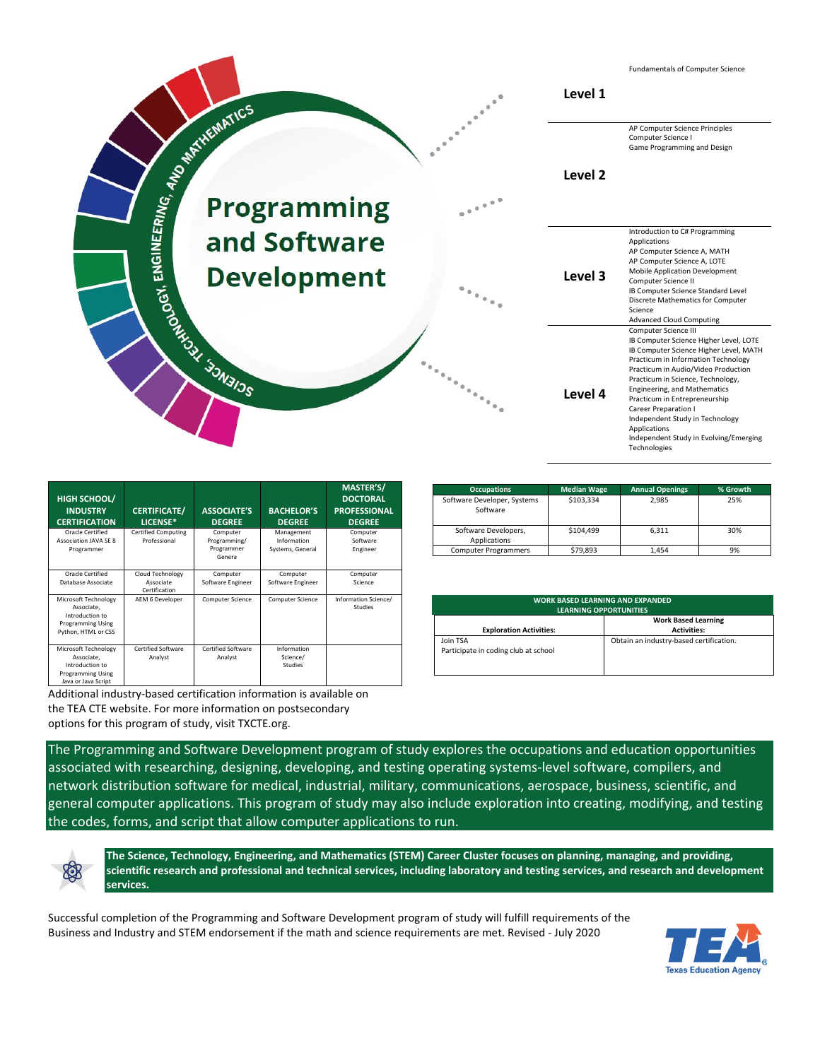

| HIGH SCHOOL/<br><b>INDUSTRY</b><br><b>CERTIFICATION</b>                                                  | <b>CERTIFICATE/</b><br>LICENSE*                | <b>ASSOCIATE'S</b><br><b>DEGREE</b>              | <b>BACHELOR'S</b><br><b>DEGREE</b>            | <b>MASTER'S/</b><br><b>DOCTORAL</b><br><b>PROFESSIONAL</b><br><b>DEGREE</b> |
|----------------------------------------------------------------------------------------------------------|------------------------------------------------|--------------------------------------------------|-----------------------------------------------|-----------------------------------------------------------------------------|
| Oracle Certified<br><b>Association JAVA SF 8</b><br>Programmer                                           | <b>Certified Computing</b><br>Professional     | Computer<br>Programming/<br>Programmer<br>Genera | Management<br>Information<br>Systems, General | Computer<br>Software<br>Engineer                                            |
| Oracle Certified<br>Database Associate                                                                   | Cloud Technology<br>Associate<br>Certification | Computer<br>Software Engineer                    | Computer<br>Software Engineer                 | Computer<br>Science                                                         |
| Microsoft Technology<br>Associate.<br>Introduction to<br><b>Programming Using</b><br>Python, HTML or CSS | AEM 6 Developer                                | Computer Science                                 | Computer Science                              | Information Science/<br>Studies                                             |
| Microsoft Technology<br>Associate.<br>Introduction to<br><b>Programming Using</b><br>Java or Java Script | Certified Software<br>Analyst                  | Certified Software<br>Analyst                    | Information<br>Science/<br>Studies            |                                                                             |

Additional industry-based certification information is available on the TEA CTE website. For more information on postsecondary

options for this program of study, visit TXCTE.org.

| <b>Occupations</b>                      | <b>Median Wage</b> | <b>Annual Openings</b> | % Growth |
|-----------------------------------------|--------------------|------------------------|----------|
| Software Developer, Systems<br>Software | \$103,334          | 2,985                  | 25%      |
| Software Developers,<br>Applications    | \$104.499          | 6.311                  | 30%      |
| <b>Computer Programmers</b>             | \$79,893           | 1.454                  | 9%       |

| <b>WORK BASED LEARNING AND EXPANDED</b><br>LEARNING OPPORTUNITIES |                                                  |  |  |
|-------------------------------------------------------------------|--------------------------------------------------|--|--|
| <b>Exploration Activities:</b>                                    | <b>Work Based Learning</b><br><b>Activities:</b> |  |  |
| Join TSA<br>Participate in coding club at school                  | Obtain an industry-based certification.          |  |  |

The Programming and Software Development program of study explores the occupations and education opportunities associated with researching, designing, developing, and testing operating systems-level software, compilers, and network distribution software for medical, industrial, military, communications, aerospace, business, scientific, and general computer applications. This program of study may also include exploration into creating, modifying, and testing the codes, forms, and script that allow computer applications to run.



**The Science, Technology, Engineering, and Mathematics (STEM) Career Cluster focuses on planning, managing, and providing, scientific research and professional and technical services, including laboratory and testing services, and research and development services.**

Successful completion of the Programming and Software Development program of study will fulfill requirements of the Business and Industry and STEM endorsement if the math and science requirements are met. Revised - July 2020

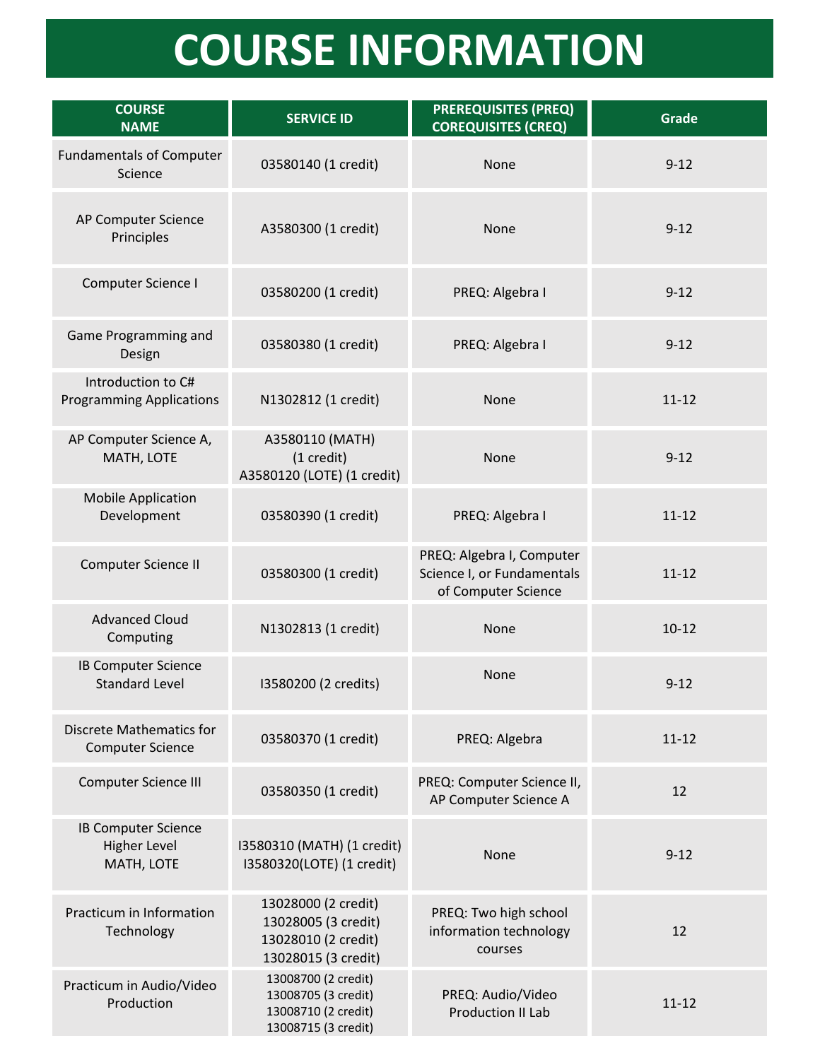## **COURSE INFORMATION**

| <b>COURSE</b><br><b>NAME</b>                                    | <b>SERVICE ID</b>                                                                        | <b>PREREQUISITES (PREQ)</b><br><b>COREQUISITES (CREQ)</b>                      | <b>Grade</b> |
|-----------------------------------------------------------------|------------------------------------------------------------------------------------------|--------------------------------------------------------------------------------|--------------|
| <b>Fundamentals of Computer</b><br>Science                      | 03580140 (1 credit)                                                                      | None                                                                           | $9 - 12$     |
| AP Computer Science<br>Principles                               | A3580300 (1 credit)                                                                      | None                                                                           | $9 - 12$     |
| Computer Science I                                              | 03580200 (1 credit)                                                                      | PREQ: Algebra I                                                                | $9 - 12$     |
| Game Programming and<br>Design                                  | 03580380 (1 credit)                                                                      | PREQ: Algebra I                                                                | $9 - 12$     |
| Introduction to C#<br><b>Programming Applications</b>           | N1302812 (1 credit)                                                                      | None                                                                           | $11 - 12$    |
| AP Computer Science A,<br>MATH, LOTE                            | A3580110 (MATH)<br>$(1 \text{ credit})$<br>A3580120 (LOTE) (1 credit)                    | None                                                                           | $9 - 12$     |
| <b>Mobile Application</b><br>Development                        | 03580390 (1 credit)                                                                      | PREQ: Algebra I                                                                | $11 - 12$    |
| Computer Science II                                             | 03580300 (1 credit)                                                                      | PREQ: Algebra I, Computer<br>Science I, or Fundamentals<br>of Computer Science | $11 - 12$    |
| <b>Advanced Cloud</b><br>Computing                              | N1302813 (1 credit)                                                                      | None                                                                           | $10-12$      |
| <b>IB Computer Science</b><br><b>Standard Level</b>             | I3580200 (2 credits)                                                                     | None                                                                           | $9 - 12$     |
| <b>Discrete Mathematics for</b><br><b>Computer Science</b>      | 03580370 (1 credit)                                                                      | PREQ: Algebra                                                                  | $11 - 12$    |
| <b>Computer Science III</b>                                     | 03580350 (1 credit)                                                                      | PREQ: Computer Science II,<br>AP Computer Science A                            | 12           |
| <b>IB Computer Science</b><br><b>Higher Level</b><br>MATH, LOTE | I3580310 (MATH) (1 credit)<br>I3580320(LOTE) (1 credit)                                  | None                                                                           | $9 - 12$     |
| Practicum in Information<br>Technology                          | 13028000 (2 credit)<br>13028005 (3 credit)<br>13028010 (2 credit)<br>13028015 (3 credit) | PREQ: Two high school<br>information technology<br>courses                     | 12           |
| Practicum in Audio/Video<br>Production                          | 13008700 (2 credit)<br>13008705 (3 credit)<br>13008710 (2 credit)<br>13008715 (3 credit) | PREQ: Audio/Video<br><b>Production II Lab</b>                                  | $11 - 12$    |